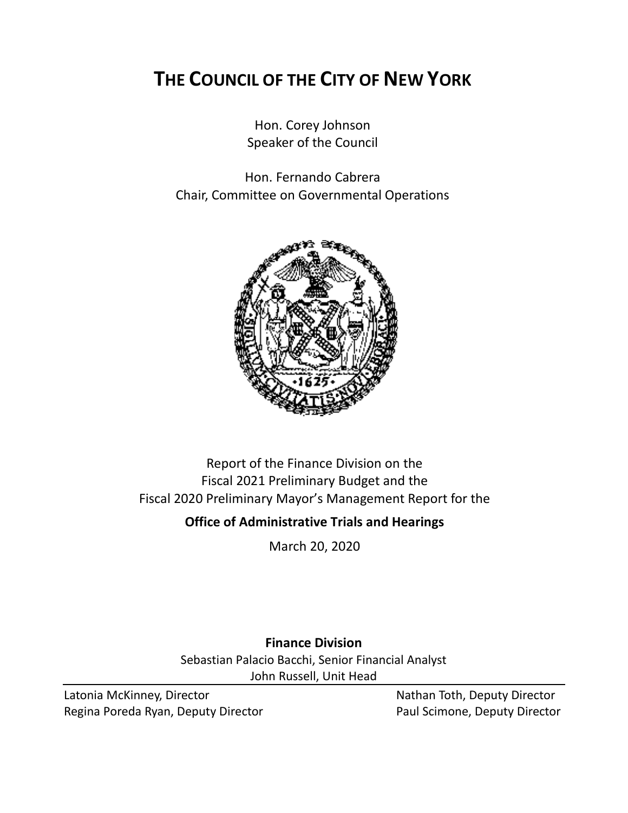# **THE COUNCIL OF THE CITY OF NEW YORK**

Hon. Corey Johnson Speaker of the Council

Hon. Fernando Cabrera Chair, Committee on Governmental Operations



Report of the Finance Division on the Fiscal 2021 Preliminary Budget and the Fiscal 2020 Preliminary Mayor's Management Report for the

## **Office of Administrative Trials and Hearings**

March 20, 2020

**Finance Division** Sebastian Palacio Bacchi, Senior Financial Analyst John Russell, Unit Head

Latonia McKinney, Director Nathan Toth, Deputy Director Regina Poreda Ryan, Deputy Director **Paul Scimone, Deputy Director**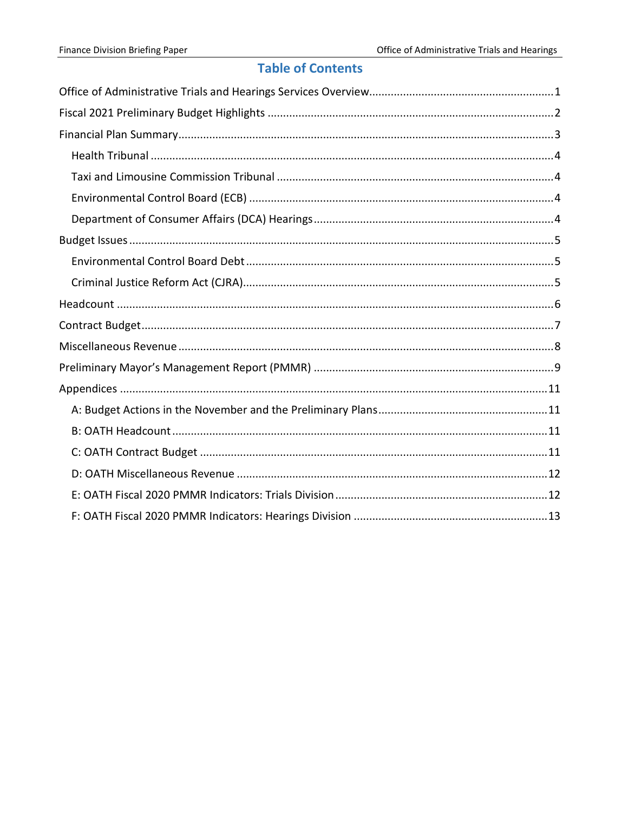## **Table of Contents**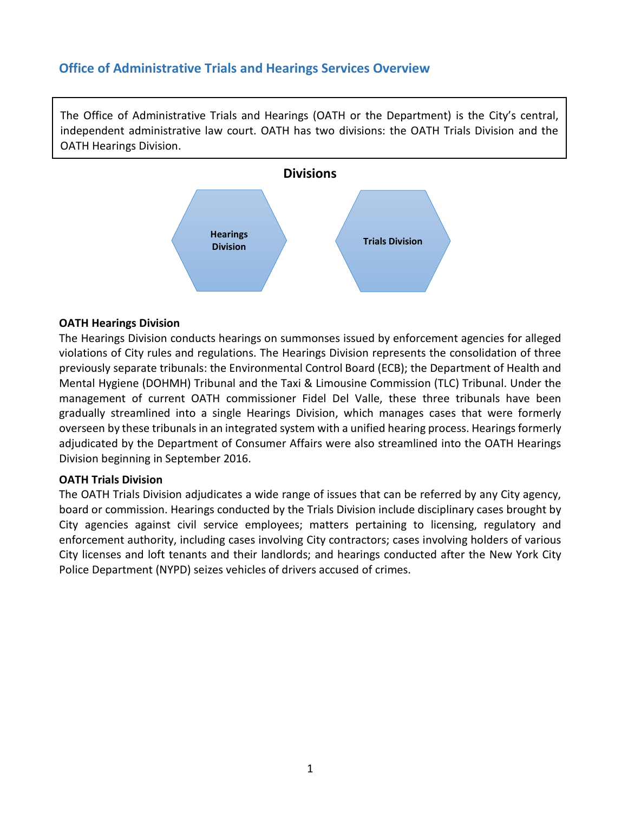### <span id="page-2-0"></span>**Office of Administrative Trials and Hearings Services Overview**

The Office of Administrative Trials and Hearings (OATH or the Department) is the City's central, independent administrative law court. OATH has two divisions: the OATH Trials Division and the OATH Hearings Division.



#### **OATH Hearings Division**

The Hearings Division conducts hearings on summonses issued by enforcement agencies for alleged violations of City rules and regulations. The Hearings Division represents the consolidation of three previously separate tribunals: the Environmental Control Board (ECB); the Department of Health and Mental Hygiene (DOHMH) Tribunal and the Taxi & Limousine Commission (TLC) Tribunal. Under the management of current OATH commissioner Fidel Del Valle, these three tribunals have been gradually streamlined into a single Hearings Division, which manages cases that were formerly overseen by these tribunals in an integrated system with a unified hearing process. Hearings formerly adjudicated by the Department of Consumer Affairs were also streamlined into the OATH Hearings Division beginning in September 2016.

#### **OATH Trials Division**

The OATH Trials Division adjudicates a wide range of issues that can be referred by any City agency, board or commission. Hearings conducted by the Trials Division include disciplinary cases brought by City agencies against civil service employees; matters pertaining to licensing, regulatory and enforcement authority, including cases involving City contractors; cases involving holders of various City licenses and loft tenants and their landlords; and hearings conducted after the New York City Police Department (NYPD) seizes vehicles of drivers accused of crimes.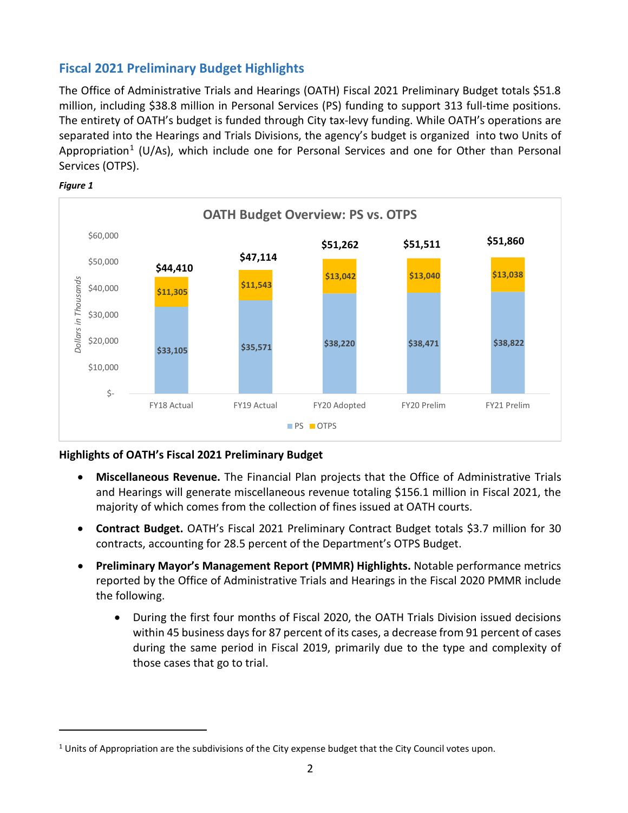## <span id="page-3-0"></span>**Fiscal 2021 Preliminary Budget Highlights**

The Office of Administrative Trials and Hearings (OATH) Fiscal 2021 Preliminary Budget totals \$51.8 million, including \$38.8 million in Personal Services (PS) funding to support 313 full-time positions. The entirety of OATH's budget is funded through City tax-levy funding. While OATH's operations are separated into the Hearings and Trials Divisions, the agency's budget is organized into two Units of Appropriation<sup>[1](#page-3-1)</sup> (U/As), which include one for Personal Services and one for Other than Personal Services (OTPS).





 $\overline{a}$ 

#### **Highlights of OATH's Fiscal 2021 Preliminary Budget**

- **Miscellaneous Revenue.** The Financial Plan projects that the Office of Administrative Trials and Hearings will generate miscellaneous revenue totaling \$156.1 million in Fiscal 2021, the majority of which comes from the collection of fines issued at OATH courts.
- **Contract Budget.** OATH's Fiscal 2021 Preliminary Contract Budget totals \$3.7 million for 30 contracts, accounting for 28.5 percent of the Department's OTPS Budget.
- **Preliminary Mayor's Management Report (PMMR) Highlights.** Notable performance metrics reported by the Office of Administrative Trials and Hearings in the Fiscal 2020 PMMR include the following.
	- During the first four months of Fiscal 2020, the OATH Trials Division issued decisions within 45 business days for 87 percent of its cases, a decrease from 91 percent of cases during the same period in Fiscal 2019, primarily due to the type and complexity of those cases that go to trial.

<span id="page-3-1"></span> $1$  Units of Appropriation are the subdivisions of the City expense budget that the City Council votes upon.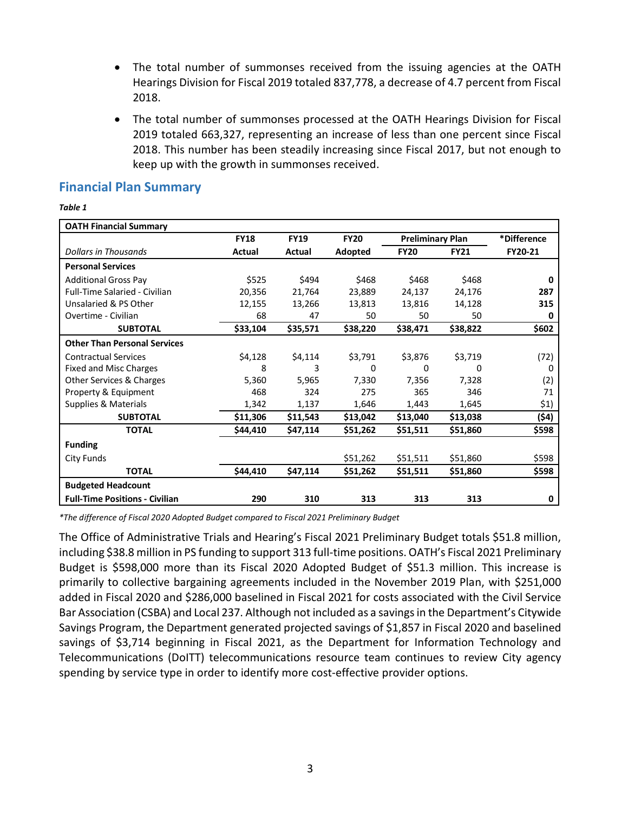- The total number of summonses received from the issuing agencies at the OATH Hearings Division for Fiscal 2019 totaled 837,778, a decrease of 4.7 percent from Fiscal 2018.
- The total number of summonses processed at the OATH Hearings Division for Fiscal 2019 totaled 663,327, representing an increase of less than one percent since Fiscal 2018. This number has been steadily increasing since Fiscal 2017, but not enough to keep up with the growth in summonses received.

### <span id="page-4-0"></span>**Financial Plan Summary**

#### *Table 1*

| <b>OATH Financial Summary</b>         |             |             |             |                         |             |             |
|---------------------------------------|-------------|-------------|-------------|-------------------------|-------------|-------------|
|                                       | <b>FY18</b> | <b>FY19</b> | <b>FY20</b> | <b>Preliminary Plan</b> |             | *Difference |
| <b>Dollars in Thousands</b>           | Actual      | Actual      | Adopted     | <b>FY20</b>             | <b>FY21</b> | FY20-21     |
| <b>Personal Services</b>              |             |             |             |                         |             |             |
| <b>Additional Gross Pay</b>           | \$525       | \$494       | \$468       | \$468                   | \$468       | 0           |
| <b>Full-Time Salaried - Civilian</b>  | 20,356      | 21,764      | 23,889      | 24,137                  | 24,176      | 287         |
| Unsalaried & PS Other                 | 12,155      | 13,266      | 13,813      | 13,816                  | 14,128      | 315         |
| Overtime - Civilian                   | 68          | 47          | 50          | 50                      | 50          | 0           |
| <b>SUBTOTAL</b>                       | \$33,104    | \$35,571    | \$38,220    | \$38,471                | \$38,822    | \$602       |
| <b>Other Than Personal Services</b>   |             |             |             |                         |             |             |
| <b>Contractual Services</b>           | \$4,128     | \$4,114     | \$3,791     | \$3,876                 | \$3,719     | (72)        |
| <b>Fixed and Misc Charges</b>         | 8           | 3           | 0           | $\Omega$                | 0           | 0           |
| Other Services & Charges              | 5,360       | 5,965       | 7,330       | 7,356                   | 7,328       | (2)         |
| Property & Equipment                  | 468         | 324         | 275         | 365                     | 346         | 71          |
| Supplies & Materials                  | 1,342       | 1,137       | 1,646       | 1,443                   | 1,645       | \$1)        |
| <b>SUBTOTAL</b>                       | \$11,306    | \$11,543    | \$13,042    | \$13,040                | \$13,038    | (\$4)       |
| <b>TOTAL</b>                          | \$44,410    | \$47,114    | \$51,262    | \$51,511                | \$51,860    | \$598       |
| <b>Funding</b>                        |             |             |             |                         |             |             |
| City Funds                            |             |             | \$51,262    | \$51,511                | \$51,860    | \$598       |
| <b>TOTAL</b>                          | \$44,410    | \$47,114    | \$51,262    | \$51,511                | \$51,860    | \$598       |
| <b>Budgeted Headcount</b>             |             |             |             |                         |             |             |
| <b>Full-Time Positions - Civilian</b> | 290         | 310         | 313         | 313                     | 313         | 0           |

*\*The difference of Fiscal 2020 Adopted Budget compared to Fiscal 2021 Preliminary Budget*

The Office of Administrative Trials and Hearing's Fiscal 2021 Preliminary Budget totals \$51.8 million, including \$38.8 million in PS funding to support 313 full-time positions. OATH's Fiscal 2021 Preliminary Budget is \$598,000 more than its Fiscal 2020 Adopted Budget of \$51.3 million. This increase is primarily to collective bargaining agreements included in the November 2019 Plan, with \$251,000 added in Fiscal 2020 and \$286,000 baselined in Fiscal 2021 for costs associated with the Civil Service Bar Association (CSBA) and Local 237. Although not included as a savings in the Department's Citywide Savings Program, the Department generated projected savings of \$1,857 in Fiscal 2020 and baselined savings of \$3,714 beginning in Fiscal 2021, as the Department for Information Technology and Telecommunications (DoITT) telecommunications resource team continues to review City agency spending by service type in order to identify more cost-effective provider options.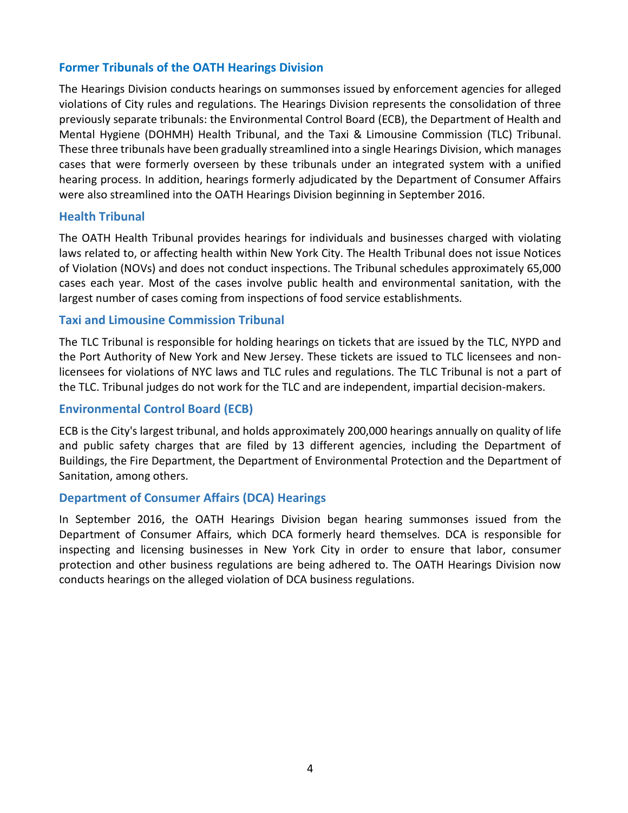#### **Former Tribunals of the OATH Hearings Division**

The Hearings Division conducts hearings on summonses issued by enforcement agencies for alleged violations of City rules and regulations. The Hearings Division represents the consolidation of three previously separate tribunals: the Environmental Control Board (ECB), the Department of Health and Mental Hygiene (DOHMH) Health Tribunal, and the Taxi & Limousine Commission (TLC) Tribunal. These three tribunals have been gradually streamlined into a single Hearings Division, which manages cases that were formerly overseen by these tribunals under an integrated system with a unified hearing process. In addition, hearings formerly adjudicated by the Department of Consumer Affairs were also streamlined into the OATH Hearings Division beginning in September 2016.

#### <span id="page-5-0"></span>**Health Tribunal**

The OATH Health Tribunal provides hearings for individuals and businesses charged with violating laws related to, or affecting health within New York City. The Health Tribunal does not issue Notices of Violation (NOVs) and does not conduct inspections. The Tribunal schedules approximately 65,000 cases each year. Most of the cases involve public health and environmental sanitation, with the largest number of cases coming from inspections of food service establishments.

#### <span id="page-5-1"></span>**Taxi and Limousine Commission Tribunal**

The TLC Tribunal is responsible for holding hearings on tickets that are issued by the TLC, NYPD and the Port Authority of New York and New Jersey. These tickets are issued to TLC licensees and nonlicensees for violations of NYC laws and TLC rules and regulations. The TLC Tribunal is not a part of the TLC. Tribunal judges do not work for the TLC and are independent, impartial decision-makers.

#### <span id="page-5-2"></span>**Environmental Control Board (ECB)**

ECB is the City's largest tribunal, and holds approximately 200,000 hearings annually on quality of life and public safety charges that are filed by 13 different agencies, including the Department of Buildings, the Fire Department, the Department of Environmental Protection and the Department of Sanitation, among others.

#### <span id="page-5-3"></span>**Department of Consumer Affairs (DCA) Hearings**

In September 2016, the OATH Hearings Division began hearing summonses issued from the Department of Consumer Affairs, which DCA formerly heard themselves. DCA is responsible for inspecting and licensing businesses in New York City in order to ensure that labor, consumer protection and other business regulations are being adhered to. The OATH Hearings Division now conducts hearings on the alleged violation of DCA business regulations.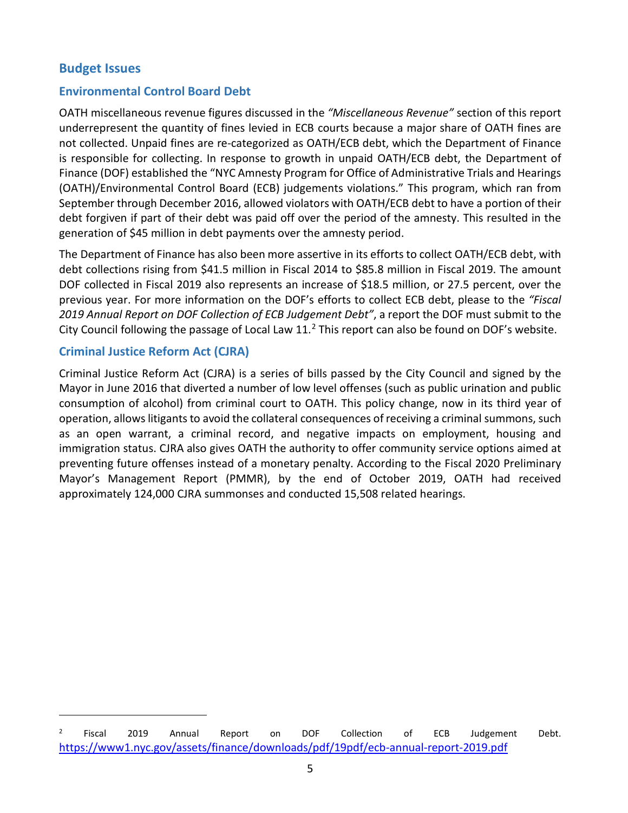### <span id="page-6-0"></span>**Budget Issues**

#### <span id="page-6-1"></span>**Environmental Control Board Debt**

OATH miscellaneous revenue figures discussed in the *"Miscellaneous Revenue"* section of this report underrepresent the quantity of fines levied in ECB courts because a major share of OATH fines are not collected. Unpaid fines are re-categorized as OATH/ECB debt, which the Department of Finance is responsible for collecting. In response to growth in unpaid OATH/ECB debt, the Department of Finance (DOF) established the "NYC Amnesty Program for Office of Administrative Trials and Hearings (OATH)/Environmental Control Board (ECB) judgements violations." This program, which ran from September through December 2016, allowed violators with OATH/ECB debt to have a portion of their debt forgiven if part of their debt was paid off over the period of the amnesty. This resulted in the generation of \$45 million in debt payments over the amnesty period.

The Department of Finance has also been more assertive in its efforts to collect OATH/ECB debt, with debt collections rising from \$41.5 million in Fiscal 2014 to \$85.8 million in Fiscal 2019. The amount DOF collected in Fiscal 2019 also represents an increase of \$18.5 million, or 27.5 percent, over the previous year. For more information on the DOF's efforts to collect ECB debt, please to the *"Fiscal 2019 Annual Report on DOF Collection of ECB Judgement Debt"*, a report the DOF must submit to the City Council following the passage of Local Law  $11<sup>2</sup>$  $11<sup>2</sup>$  $11<sup>2</sup>$  This report can also be found on DOF's website.

#### <span id="page-6-2"></span>**Criminal Justice Reform Act (CJRA)**

 $\overline{a}$ 

Criminal Justice Reform Act (CJRA) is a series of bills passed by the City Council and signed by the Mayor in June 2016 that diverted a number of low level offenses (such as public urination and public consumption of alcohol) from criminal court to OATH. This policy change, now in its third year of operation, allows litigants to avoid the collateral consequences of receiving a criminal summons, such as an open warrant, a criminal record, and negative impacts on employment, housing and immigration status. CJRA also gives OATH the authority to offer community service options aimed at preventing future offenses instead of a monetary penalty. According to the Fiscal 2020 Preliminary Mayor's Management Report (PMMR), by the end of October 2019, OATH had received approximately 124,000 CJRA summonses and conducted 15,508 related hearings.

<span id="page-6-3"></span><sup>&</sup>lt;sup>2</sup> Fiscal 2019 Annual Report on DOF Collection of ECB Judgement Debt. <https://www1.nyc.gov/assets/finance/downloads/pdf/19pdf/ecb-annual-report-2019.pdf>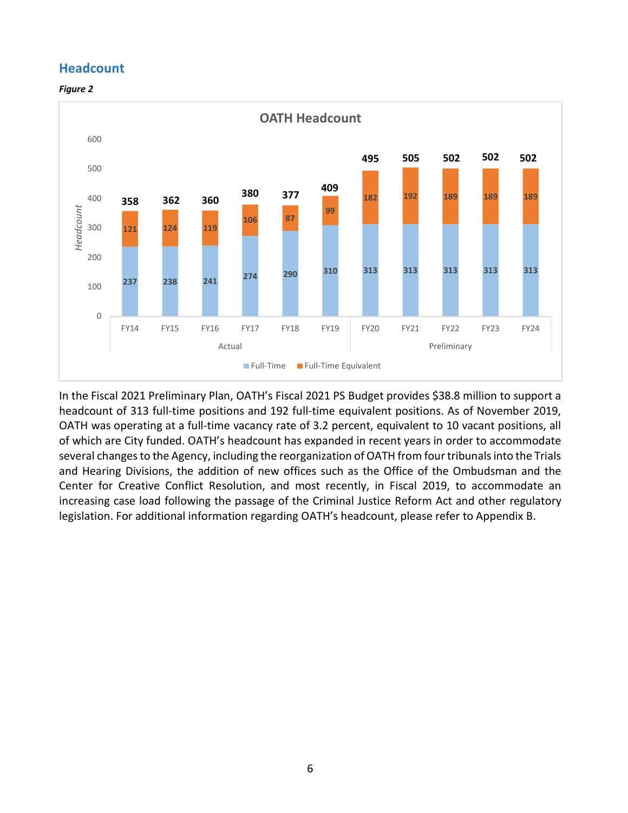## <span id="page-7-0"></span>**Headcount**





In the Fiscal 2021 Preliminary Plan, OATH's Fiscal 2021 PS Budget provides \$38.8 million to support a headcount of 313 full-time positions and 192 full-time equivalent positions. As of November 2019, OATH was operating at a full-time vacancy rate of 3.2 percent, equivalent to 10 vacant positions, all of which are City funded. OATH's headcount has expanded in recent years in order to accommodate several changes to the Agency, including the reorganization of OATH from fourtribunals into the Trials and Hearing Divisions, the addition of new offices such as the Office of the Ombudsman and the Center for Creative Conflict Resolution, and most recently, in Fiscal 2019, to accommodate an increasing case load following the passage of the Criminal Justice Reform Act and other regulatory legislation. For additional information regarding OATH's headcount, please refer to Appendix B.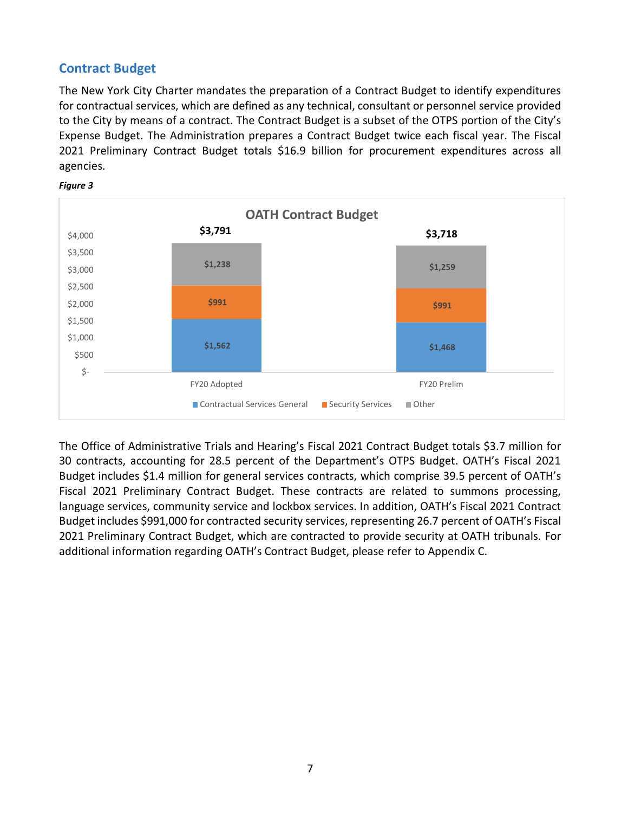## <span id="page-8-0"></span>**Contract Budget**

The New York City Charter mandates the preparation of a Contract Budget to identify expenditures for contractual services, which are defined as any technical, consultant or personnel service provided to the City by means of a contract. The Contract Budget is a subset of the OTPS portion of the City's Expense Budget. The Administration prepares a Contract Budget twice each fiscal year. The Fiscal 2021 Preliminary Contract Budget totals \$16.9 billion for procurement expenditures across all agencies.





The Office of Administrative Trials and Hearing's Fiscal 2021 Contract Budget totals \$3.7 million for 30 contracts, accounting for 28.5 percent of the Department's OTPS Budget. OATH's Fiscal 2021 Budget includes \$1.4 million for general services contracts, which comprise 39.5 percent of OATH's Fiscal 2021 Preliminary Contract Budget. These contracts are related to summons processing, language services, community service and lockbox services. In addition, OATH's Fiscal 2021 Contract Budget includes \$991,000 for contracted security services, representing 26.7 percent of OATH's Fiscal 2021 Preliminary Contract Budget, which are contracted to provide security at OATH tribunals. For additional information regarding OATH's Contract Budget, please refer to Appendix C.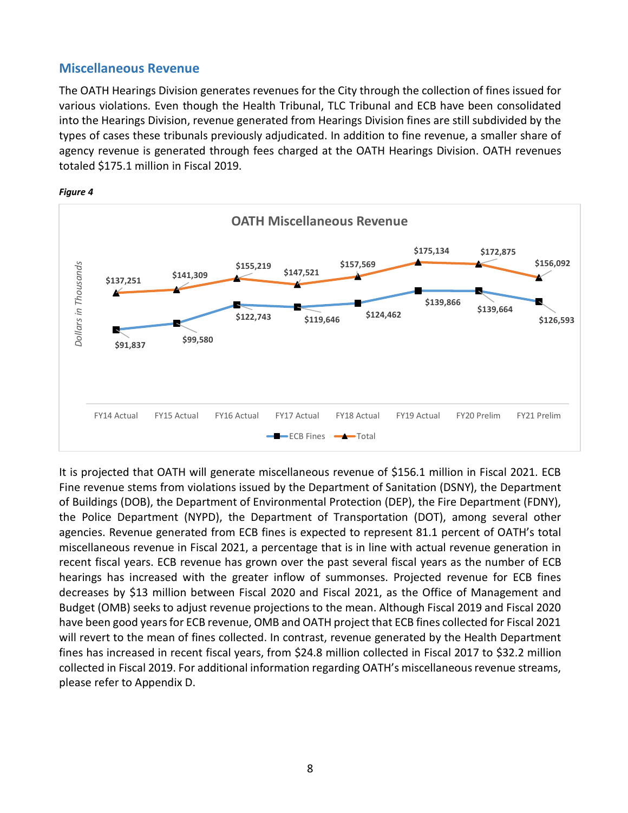#### <span id="page-9-0"></span>**Miscellaneous Revenue**

The OATH Hearings Division generates revenues for the City through the collection of fines issued for various violations. Even though the Health Tribunal, TLC Tribunal and ECB have been consolidated into the Hearings Division, revenue generated from Hearings Division fines are still subdivided by the types of cases these tribunals previously adjudicated. In addition to fine revenue, a smaller share of agency revenue is generated through fees charged at the OATH Hearings Division. OATH revenues totaled \$175.1 million in Fiscal 2019.





It is projected that OATH will generate miscellaneous revenue of \$156.1 million in Fiscal 2021. ECB Fine revenue stems from violations issued by the Department of Sanitation (DSNY), the Department of Buildings (DOB), the Department of Environmental Protection (DEP), the Fire Department (FDNY), the Police Department (NYPD), the Department of Transportation (DOT), among several other agencies. Revenue generated from ECB fines is expected to represent 81.1 percent of OATH's total miscellaneous revenue in Fiscal 2021, a percentage that is in line with actual revenue generation in recent fiscal years. ECB revenue has grown over the past several fiscal years as the number of ECB hearings has increased with the greater inflow of summonses. Projected revenue for ECB fines decreases by \$13 million between Fiscal 2020 and Fiscal 2021, as the Office of Management and Budget (OMB) seeks to adjust revenue projections to the mean. Although Fiscal 2019 and Fiscal 2020 have been good years for ECB revenue, OMB and OATH project that ECB fines collected for Fiscal 2021 will revert to the mean of fines collected. In contrast, revenue generated by the Health Department fines has increased in recent fiscal years, from \$24.8 million collected in Fiscal 2017 to \$32.2 million collected in Fiscal 2019. For additional information regarding OATH's miscellaneous revenue streams, please refer to Appendix D.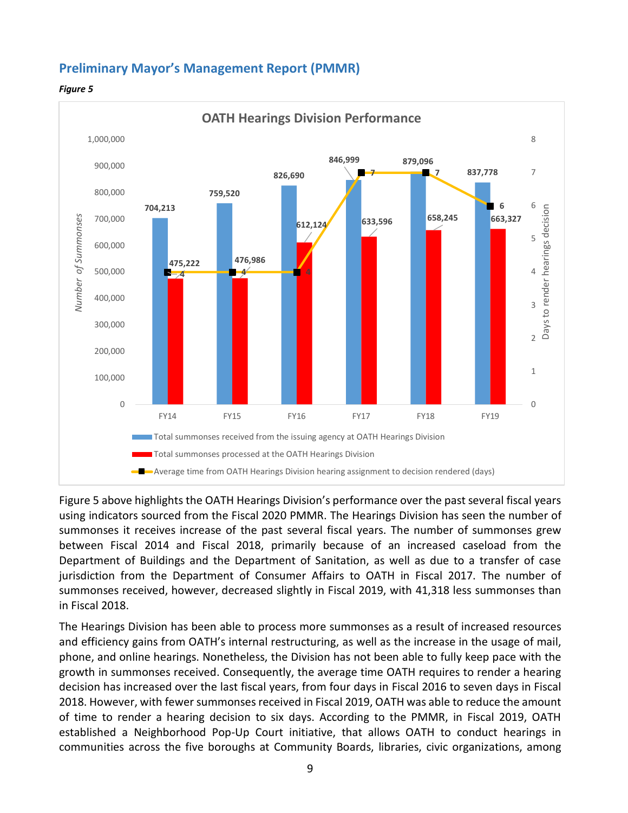### <span id="page-10-0"></span>**Preliminary Mayor's Management Report (PMMR)**

*Figure 5*



Figure 5 above highlights the OATH Hearings Division's performance over the past several fiscal years using indicators sourced from the Fiscal 2020 PMMR. The Hearings Division has seen the number of summonses it receives increase of the past several fiscal years. The number of summonses grew between Fiscal 2014 and Fiscal 2018, primarily because of an increased caseload from the Department of Buildings and the Department of Sanitation, as well as due to a transfer of case jurisdiction from the Department of Consumer Affairs to OATH in Fiscal 2017. The number of summonses received, however, decreased slightly in Fiscal 2019, with 41,318 less summonses than in Fiscal 2018.

The Hearings Division has been able to process more summonses as a result of increased resources and efficiency gains from OATH's internal restructuring, as well as the increase in the usage of mail, phone, and online hearings. Nonetheless, the Division has not been able to fully keep pace with the growth in summonses received. Consequently, the average time OATH requires to render a hearing decision has increased over the last fiscal years, from four days in Fiscal 2016 to seven days in Fiscal 2018. However, with fewer summonses received in Fiscal 2019, OATH was able to reduce the amount of time to render a hearing decision to six days. According to the PMMR, in Fiscal 2019, OATH established a Neighborhood Pop-Up Court initiative, that allows OATH to conduct hearings in communities across the five boroughs at Community Boards, libraries, civic organizations, among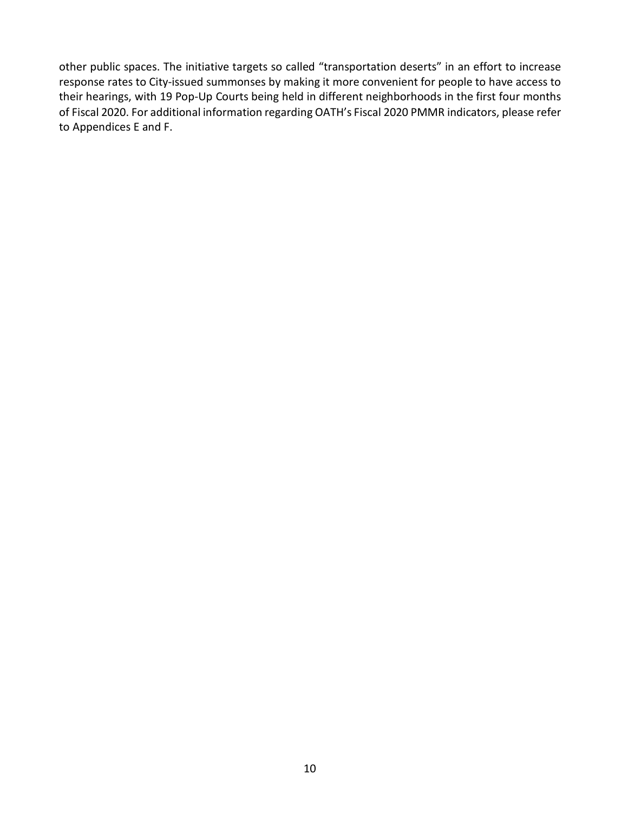other public spaces. The initiative targets so called "transportation deserts" in an effort to increase response rates to City-issued summonses by making it more convenient for people to have access to their hearings, with 19 Pop-Up Courts being held in different neighborhoods in the first four months of Fiscal 2020. For additional information regarding OATH's Fiscal 2020 PMMR indicators, please refer to Appendices E and F.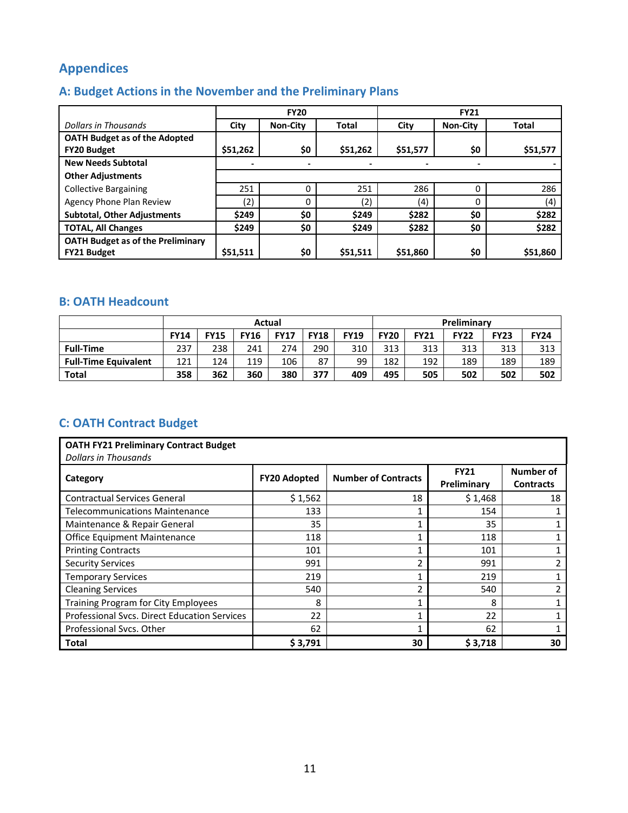## <span id="page-12-0"></span>**Appendices**

## <span id="page-12-1"></span>**A: Budget Actions in the November and the Preliminary Plans**

|                                          |          | <b>FY20</b>     |              |          |                              |          |
|------------------------------------------|----------|-----------------|--------------|----------|------------------------------|----------|
| Dollars in Thousands                     | City     | <b>Non-City</b> | <b>Total</b> | City     | <b>Non-City</b>              | Total    |
| OATH Budget as of the Adopted            |          |                 |              |          |                              |          |
| <b>FY20 Budget</b>                       | \$51,262 | \$0             | \$51,262     | \$51,577 | \$0                          | \$51,577 |
| <b>New Needs Subtotal</b>                |          |                 |              |          | $\qquad \qquad \blacksquare$ |          |
| <b>Other Adjustments</b>                 |          |                 |              |          |                              |          |
| <b>Collective Bargaining</b>             | 251      | ი               | 251          | 286      | $\Omega$                     | 286      |
| Agency Phone Plan Review                 | (2)      | 0               | (2)          | (4)      | $\Omega$                     | (4)      |
| <b>Subtotal, Other Adjustments</b>       | \$249    | \$0             | \$249        | \$282    | \$0                          | \$282    |
| <b>TOTAL, All Changes</b>                | \$249    | \$0             | \$249        | \$282    | \$0                          | \$282    |
| <b>OATH Budget as of the Preliminary</b> |          |                 |              |          |                              |          |
| <b>FY21 Budget</b>                       | \$51,511 | \$0             | \$51,511     | \$51,860 | \$0                          | \$51,860 |

### <span id="page-12-2"></span>**B: OATH Headcount**

|                             | Actual      |             |             |             |             |             |             | Preliminary |             |             |             |
|-----------------------------|-------------|-------------|-------------|-------------|-------------|-------------|-------------|-------------|-------------|-------------|-------------|
|                             | <b>FY14</b> | <b>FY15</b> | <b>FY16</b> | <b>FY17</b> | <b>FY18</b> | <b>FY19</b> | <b>FY20</b> | <b>FY21</b> | <b>FY22</b> | <b>FY23</b> | <b>FY24</b> |
| <b>Full-Time</b>            | 237         | 238         | 241         | 274         | 290         | 310         | 313         | 313         | 313         | 313         | 313         |
| <b>Full-Time Equivalent</b> | 121         | 124         | 119         | 106         | 87          | 99          | 182         | 192         | 189         | 189         | 189         |
| <b>Total</b>                | 358         | 362         | 360         | 380         | 377         | 409         | 495         | 505         | 502         | 502         | 502         |

## <span id="page-12-3"></span>**C: OATH Contract Budget**

<span id="page-12-4"></span>

| <b>OATH FY21 Preliminary Contract Budget</b><br><b>Dollars in Thousands</b> |                     |                            |                            |                               |
|-----------------------------------------------------------------------------|---------------------|----------------------------|----------------------------|-------------------------------|
| Category                                                                    | <b>FY20 Adopted</b> | <b>Number of Contracts</b> | <b>FY21</b><br>Preliminary | Number of<br><b>Contracts</b> |
| <b>Contractual Services General</b>                                         | \$1,562             | 18                         | \$1,468                    | 18                            |
| <b>Telecommunications Maintenance</b>                                       | 133                 |                            | 154                        |                               |
| Maintenance & Repair General                                                | 35                  |                            | 35                         |                               |
| Office Equipment Maintenance                                                | 118                 |                            | 118                        |                               |
| <b>Printing Contracts</b>                                                   | 101                 |                            | 101                        |                               |
| <b>Security Services</b>                                                    | 991                 | າ                          | 991                        |                               |
| <b>Temporary Services</b>                                                   | 219                 |                            | 219                        |                               |
| <b>Cleaning Services</b>                                                    | 540                 | 2                          | 540                        |                               |
| Training Program for City Employees                                         | 8                   |                            | 8                          |                               |
| Professional Svcs. Direct Education Services                                | 22                  |                            | 22                         |                               |
| Professional Sycs. Other                                                    | 62                  |                            | 62                         |                               |
| <b>Total</b>                                                                | \$3,791             | 30                         | \$3,718                    | 30                            |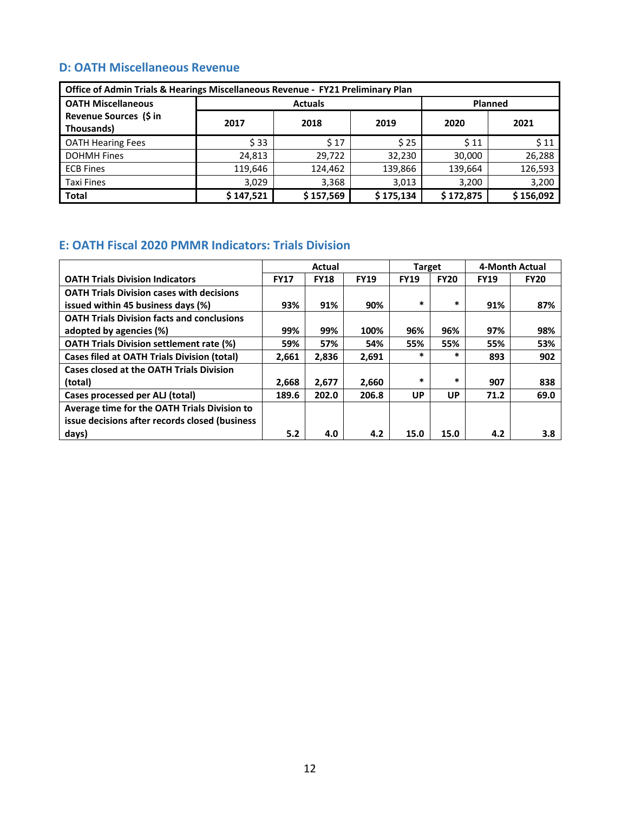## **D: OATH Miscellaneous Revenue**

| Office of Admin Trials & Hearings Miscellaneous Revenue - FY21 Preliminary Plan |           |                |                |           |           |  |  |  |  |  |  |
|---------------------------------------------------------------------------------|-----------|----------------|----------------|-----------|-----------|--|--|--|--|--|--|
| <b>OATH Miscellaneous</b>                                                       |           | <b>Actuals</b> | <b>Planned</b> |           |           |  |  |  |  |  |  |
| Revenue Sources (\$ in<br>Thousands)                                            | 2017      | 2018           | 2019           | 2020      | 2021      |  |  |  |  |  |  |
| <b>OATH Hearing Fees</b>                                                        | \$33      | \$17           | \$ 25          | \$11      | \$11      |  |  |  |  |  |  |
| <b>DOHMH Fines</b>                                                              | 24,813    | 29,722         | 32,230         | 30,000    | 26,288    |  |  |  |  |  |  |
| <b>ECB Fines</b>                                                                | 119,646   | 124,462        | 139,866        | 139,664   | 126,593   |  |  |  |  |  |  |
| <b>Taxi Fines</b>                                                               | 3,029     | 3,368          | 3,013          | 3,200     | 3,200     |  |  |  |  |  |  |
| <b>Total</b>                                                                    | \$147,521 | \$157,569      | \$175,134      | \$172,875 | \$156,092 |  |  |  |  |  |  |

## <span id="page-13-0"></span>**E: OATH Fiscal 2020 PMMR Indicators: Trials Division**

<span id="page-13-1"></span>

|                                                    | Actual      |             |             | <b>Target</b> |             | 4-Month Actual |                  |
|----------------------------------------------------|-------------|-------------|-------------|---------------|-------------|----------------|------------------|
| <b>OATH Trials Division Indicators</b>             | <b>FY17</b> | <b>FY18</b> | <b>FY19</b> | <b>FY19</b>   | <b>FY20</b> | <b>FY19</b>    | <b>FY20</b>      |
| <b>OATH Trials Division cases with decisions</b>   |             |             |             |               |             |                |                  |
| issued within 45 business days (%)                 | 93%         | 91%         | 90%         | $\ast$        | $\ast$      | 91%            | 87%              |
| <b>OATH Trials Division facts and conclusions</b>  |             |             |             |               |             |                |                  |
| adopted by agencies (%)                            | 99%         | 99%         | 100%        | 96%           | 96%         | 97%            | 98%              |
| <b>OATH Trials Division settlement rate (%)</b>    | 59%         | 57%         | 54%         | 55%           | 55%         | 55%            | 53%              |
| <b>Cases filed at OATH Trials Division (total)</b> | 2,661       | 2,836       | 2,691       | $\ast$        | $\ast$      | 893            | 902              |
| <b>Cases closed at the OATH Trials Division</b>    |             |             |             |               |             |                |                  |
| (total)                                            | 2,668       | 2.677       | 2,660       | $\ast$        | $\ast$      | 907            | 838              |
| Cases processed per ALJ (total)                    | 189.6       | 202.0       | 206.8       | UP            | UP          | 71.2           | 69.0             |
| Average time for the OATH Trials Division to       |             |             |             |               |             |                |                  |
| issue decisions after records closed (business     |             |             |             |               |             |                |                  |
| days)                                              | 5.2         | 4.0         | 4.2         | 15.0          | 15.0        | 4.2            | 3.8 <sub>2</sub> |